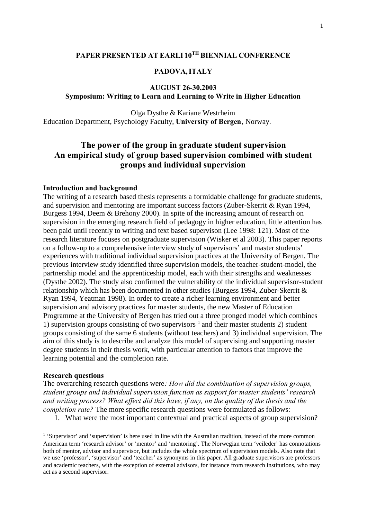## **PAPER PRESENTED AT EARLI 10TH BIENNIAL CONFERENCE**

## **PADOVA,ITALY**

## **AUGUST 26-30,2003 Symposium: Writing to Learn and Learning to Write in Higher Education**

Olga Dysthe & Kariane Westrheim Education Department, Psychology Faculty, **University of Bergen**, Norway.

# **The power of the group in graduate student supervision An empirical study of group based supervision combined with student groups and individual supervision**

#### **Introduction and background**

The writing of a research based thesis represents a formidable challenge for graduate students, and supervision and mentoring are important success factors (Zuber-Skerrit & Ryan 1994, Burgess 1994, Deem & Brehony 2000). In spite of the increasing amount of research on supervision in the emerging research field of pedagogy in higher education, little attention has been paid until recently to writing and text based supervison (Lee 1998: 121). Most of the research literature focuses on postgraduate supervision (Wisker et al 2003). This paper reports on a follow-up to a comprehensive interview study of supervisors' and master students' experiences with traditional individual supervision practices at the University of Bergen. The previous interview study identified three supervision models, the teacher-student-model, the partnership model and the apprenticeship model, each with their strengths and weaknesses (Dysthe 2002). The study also confirmed the vulnerability of the individual supervisor-student relationship which has been documented in other studies (Burgess 1994, Zuber-Skerrit & Ryan 1994, Yeatman 1998). In order to create a richer learning environment and better supervision and advisory practices for master students, the new Master of Education Programme at the University of Bergen has tried out a three pronged model which combines 1) supervision groups consisting of two supervisors  $\frac{1}{1}$  and their master students 2) student groups consisting of the same 6 students (without teachers) and 3) individual supervision. The aim of this study is to describe and analyze this model of supervising and supporting master degree students in their thesis work, with particular attention to factors that improve the learning potential and the completion rate.

#### **Research questions**

The overarching research questions were*: How did the combination of supervision groups, student groups and individual supervision function as support for master students' research and writing process? What effect did this have, if any, on the quality of the thesis and the completion rate?* The more specific research questions were formulated as follows:

1. What were the most important contextual and practical aspects of group supervision?

<sup>&</sup>lt;sup>1</sup> 'Supervisor' and 'supervision' is here used in line with the Australian tradition, instead of the more common American term 'research advisor' or 'mentor' and 'mentoring'. The Norwegian term 'veileder' has connotations both of mentor, advisor and supervisor, but includes the whole spectrum of supervision models. Also note that we use 'professor', 'supervisor' and 'teacher' as synonyms in this paper. All graduate supervisors are professors and academic teachers, with the exception of external advisors, for instance from research institutions, who may act as a second supervisor.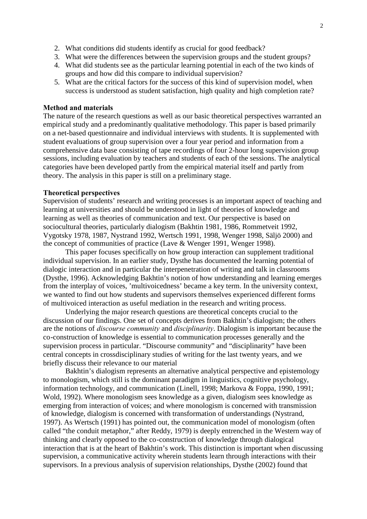- 2. What conditions did students identify as crucial for good feedback?
- 3. What were the differences between the supervision groups and the student groups?
- 4. What did students see as the particular learning potential in each of the two kinds of groups and how did this compare to individual supervision?
- 5. What are the critical factors for the success of this kind of supervision model, when success is understood as student satisfaction, high quality and high completion rate?

#### **Method and materials**

The nature of the research questions as well as our basic theoretical perspectives warranted an empirical study and a predominantly qualitative methodology. This paper is based primarily on a net-based questionnaire and individual interviews with students. It is supplemented with student evaluations of group supervision over a four year period and information from a comprehensive data base consisting of tape recordings of four 2-hour long supervision group sessions, including evaluation by teachers and students of each of the sessions. The analytical categories have been developed partly from the empirical material itself and partly from theory. The analysis in this paper is still on a preliminary stage.

#### **Theoretical perspectives**

Supervision of students' research and writing processes is an important aspect of teaching and learning at universities and should be understood in light of theories of knowledge and learning as well as theories of communication and text. Our perspective is based on sociocultural theories, particularly dialogism (Bakhtin 1981, 1986, Rommetveit 1992, Vygotsky 1978, 1987, Nystrand 1992, Wertsch 1991, 1998, Wenger 1998, Säljö 2000) and the concept of communities of practice (Lave & Wenger 1991, Wenger 1998).

This paper focuses specifically on how group interaction can supplement traditional individual supervision. In an earlier study, Dysthe has documented the learning potential of dialogic interaction and in particular the interpenetration of writing and talk in classrooms (Dysthe, 1996). Acknowledging Bakhtin's notion of how understanding and learning emerges from the interplay of voices, 'multivoicedness' became a key term. In the university context, we wanted to find out how students and supervisors themselves experienced different forms of multivoiced interaction as useful mediation in the research and writing process.

Underlying the major research questions are theoretical concepts crucial to the discussion of our findings. One set of concepts derives from Bakhtin's dialogism; the others are the notions of *discourse community* and *disciplinarity*. Dialogism is important because the co-construction of knowledge is essential to communication processes generally and the supervision process in particular. "Discourse community" and "disciplinarity" have been central concepts in crossdisciplinary studies of writing for the last twenty years, and we briefly discuss their relevance to our material

Bakhtin's dialogism represents an alternative analytical perspective and epistemology to monologism, which still is the dominant paradigm in linguistics, cognitive psychology, information technology, and communication (Linell, 1998; Markova & Foppa, 1990, 1991; Wold, 1992). Where monologism sees knowledge as a given, dialogism sees knowledge as emerging from interaction of voices; and where monologism is concerned with transmission of knowledge, dialogism is concerned with transformation of understandings (Nystrand, 1997). As Wertsch (1991) has pointed out, the communication model of monologism (often called "the conduit metaphor," after Reddy, 1979) is deeply entrenched in the Western way of thinking and clearly opposed to the co-construction of knowledge through dialogical interaction that is at the heart of Bakhtin's work. This distinction is important when discussing supervision, a communicative activity wherein students learn through interactions with their supervisors. In a previous analysis of supervision relationships, Dysthe (2002) found that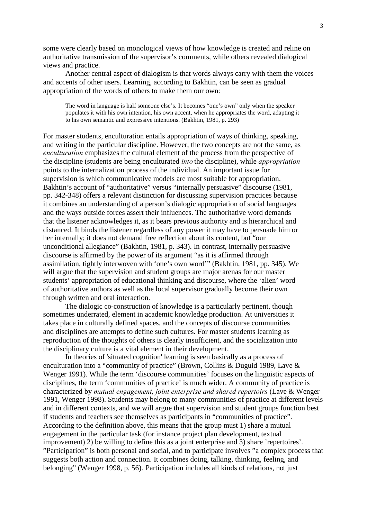some were clearly based on monological views of how knowledge is created and reline on authoritative transmission of the supervisor's comments, while others revealed dialogical views and practice.

Another central aspect of dialogism is that words always carry with them the voices and accents of other users. Learning, according to Bakhtin, can be seen as gradual appropriation of the words of others to make them our own:

The word in language is half someone else's. It becomes "one's own" only when the speaker populates it with his own intention, his own accent, when he appropriates the word, adapting it to his own semantic and expressive intentions. (Bakhtin, 1981, p. 293)

For master students, enculturation entails appropriation of ways of thinking, speaking, and writing in the particular discipline. However, the two concepts are not the same, as *enculturation* emphasizes the cultural element of the process from the perspective of the discipline (students are being enculturated *into* the discipline), while *appropriation* points to the internalization process of the individual. An important issue for supervision is which communicative models are most suitable for appropriation. Bakhtin's account of "authoritative" versus "internally persuasive" discourse (1981, pp. 342-348) offers a relevant distinction for discussing supervision practices because it combines an understanding of a person's dialogic appropriation of social languages and the ways outside forces assert their influences. The authoritative word demands that the listener acknowledges it, as it bears previous authority and is hierarchical and distanced. It binds the listener regardless of any power it may have to persuade him or her internally; it does not demand free reflection about its content, but "our unconditional allegiance" (Bakhtin, 1981, p. 343). In contrast, internally persuasive discourse is affirmed by the power of its argument "as it is affirmed through assimilation, tightly interwoven with 'one's own word'" (Bakhtin, 1981, pp. 345). We will argue that the supervision and student groups are major arenas for our master students' appropriation of educational thinking and discourse, where the 'alien' word of authoritative authors as well as the local supervisor gradually become their own through written and oral interaction.

The dialogic co-construction of knowledge is a particularly pertinent, though sometimes underrated, element in academic knowledge production. At universities it takes place in culturally defined spaces, and the concepts of discourse communities and disciplines are attempts to define such cultures. For master students learning as reproduction of the thoughts of others is clearly insufficient, and the socialization into the disciplinary culture is a vital element in their development.

In theories of 'situated cognition' learning is seen basically as a process of enculturation into a "community of practice" (Brown, Collins & Duguid 1989, Lave & Wenger 1991). While the term 'discourse communities' focuses on the linguistic aspects of disciplines, the term 'communities of practice' is much wider. A community of practice is characterized by *mutual engagement, joint enterprise and shared repertoirs* (Lave & Wenger 1991, Wenger 1998). Students may belong to many communities of practice at different levels and in different contexts, and we will argue that supervision and student groups function best if students and teachers see themselves as participants in "communities of practice". According to the definition above, this means that the group must 1) share a mutual engagement in the particular task (for instance project plan development, textual improvement) 2) be willing to define this as a joint enterprise and 3) share 'repertoires'. "Participation" is both personal and social, and to participate involves "a complex process that suggests both action and connection. It combines doing, talking, thinking, feeling, and belonging" (Wenger 1998, p. 56). Participation includes all kinds of relations, not just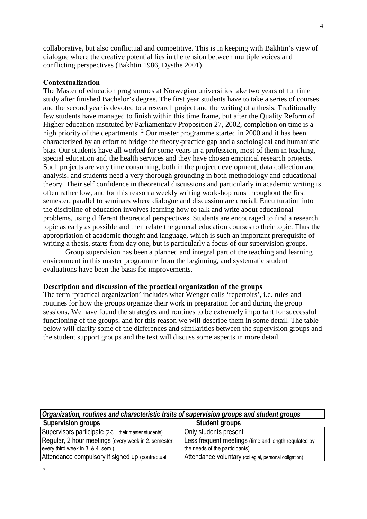collaborative, but also conflictual and competitive. This is in keeping with Bakhtin's view of dialogue where the creative potential lies in the tension between multiple voices and conflicting perspectives (Bakhtin 1986, Dysthe 2001).

#### **Contextualization**

The Master of education programmes at Norwegian universities take two years of fulltime study after finished Bachelor's degree. The first year students have to take a series of courses and the second year is devoted to a research project and the writing of a thesis. Traditionally few students have managed to finish within this time frame, but after the Quality Reform of Higher education instituted by Parliamentary Proposition 27, 2002, completion on time is a high priority of the departments. <sup>2</sup> Our master programme started in 2000 and it has been characterized by an effort to bridge the theory-practice gap and a sociological and humanistic bias. Our students have all worked for some years in a profession, most of them in teaching, special education and the health services and they have chosen empirical research projects. Such projects are very time consuming, both in the project development, data collection and analysis, and students need a very thorough grounding in both methodology and educational theory. Their self confidence in theoretical discussions and particularly in academic writing is often rather low, and for this reason a weekly writing workshop runs throughout the first semester, parallel to seminars where dialogue and discussion are crucial. Enculturation into the discipline of education involves learning how to talk and write about educational problems, using different theoretical perspectives. Students are encouraged to find a research topic as early as possible and then relate the general education courses to their topic. Thus the appropriation of academic thought and language, which is such an important prerequisite of writing a thesis, starts from day one, but is particularly a focus of our supervision groups.

Group supervision has been a planned and integral part of the teaching and learning environment in this master programme from the beginning, and systematic student evaluations have been the basis for improvements.

#### **Description and discussion of the practical organization of the groups**

The term 'practical organization' includes what Wenger calls 'repertoirs', i.e. rules and routines for how the groups organize their work in preparation for and during the group sessions. We have found the strategies and routines to be extremely important for successful functioning of the groups, and for this reason we will describe them in some detail. The table below will clarify some of the differences and similarities between the supervision groups and the student support groups and the text will discuss some aspects in more detail.

| Organization, routines and characteristic traits of supervision groups and student groups |  |  |  |  |
|-------------------------------------------------------------------------------------------|--|--|--|--|
|                                                                                           |  |  |  |  |
|                                                                                           |  |  |  |  |
| Less frequent meetings (time and length regulated by                                      |  |  |  |  |
|                                                                                           |  |  |  |  |
|                                                                                           |  |  |  |  |
|                                                                                           |  |  |  |  |

 $\overline{\phantom{0}}$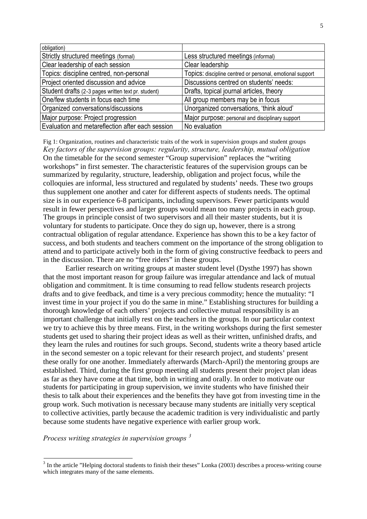| obligation)                                         |                                                           |
|-----------------------------------------------------|-----------------------------------------------------------|
| Strictly structured meetings (formal)               | Less structured meetings (informal)                       |
| Clear leadership of each session                    | Clear leadership                                          |
| Topics: discipline centred, non-personal            | Topics: discipline centred or personal, emotional support |
| Project oriented discussion and advice              | Discussions centred on students' needs:                   |
| Student drafts (2-3 pages written text pr. student) | Drafts, topical journal articles, theory                  |
| One/few students in focus each time                 | All group members may be in focus                         |
| Organized conversations/discussions                 | Unorganized conversations, 'think aloud'                  |
| Major purpose: Project progression                  | Major purpose: personal and disciplinary support          |
| Evaluation and metareflection after each session    | No evaluation                                             |

Fig 1: Organization, routines and characteristic traits of the work in supervision groups and student groups *Key factors of the supervision groups: regularity, structure, leadership, mutual obligation* On the timetable for the second semester "Group supervision" replaces the "writing workshops" in first semester. The characteristic features of the supervision groups can be summarized by regularity, structure, leadership, obligation and project focus, while the colloquies are informal, less structured and regulated by students' needs. These two groups thus supplement one another and cater for different aspects of students needs. The optimal size is in our experience 6-8 participants, including supervisors. Fewer participants would result in fewer perspectives and larger groups would mean too many projects in each group. The groups in principle consist of two supervisors and all their master students, but it is voluntary for students to participate. Once they do sign up, however, there is a strong contractual obligation of regular attendance. Experience has shown this to be a key factor of success, and both students and teachers comment on the importance of the strong obligation to attend and to participate actively both in the form of giving constructive feedback to peers and in the discussion. There are no "free riders" in these groups.

Earlier research on writing groups at master student level (Dysthe 1997) has shown that the most important reason for group failure was irregular attendance and lack of mutual obligation and commitment. It is time consuming to read fellow students research projects drafts and to give feedback, and time is a very precious commodity; hence the mutuality: "I invest time in your project if you do the same in mine." Establishing structures for building a thorough knowledge of each others' projects and collective mutual responsibility is an important challenge that initially rest on the teachers in the groups. In our particular context we try to achieve this by three means. First, in the writing workshops during the first semester students get used to sharing their project ideas as well as their written, unfinished drafts, and they learn the rules and routines for such groups. Second, students write a theory based article in the second semester on a topic relevant for their research project, and students' present these orally for one another. Immediately afterwards (March-April) the mentoring groups are established. Third, during the first group meeting all students present their project plan ideas as far as they have come at that time, both in writing and orally. In order to motivate our students for participating in group supervision, we invite students who have finished their thesis to talk about their experiences and the benefits they have got from investing time in the group work. Such motivation is necessary because many students are initially very sceptical to collective activities, partly because the academic tradition is very individualistic and partly because some students have negative experience with earlier group work.

*Process writing strategies in supervision groups <sup>3</sup>*

 $3$  In the article "Helping doctoral students to finish their theses" Lonka (2003) describes a process-writing course which integrates many of the same elements.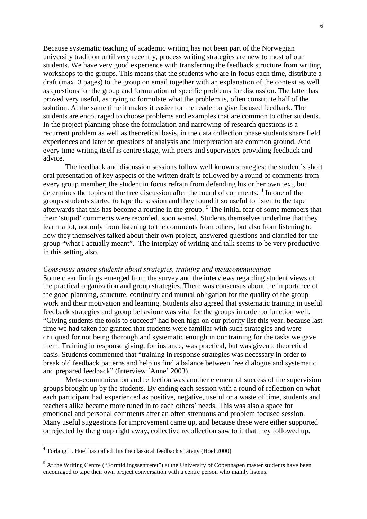Because systematic teaching of academic writing has not been part of the Norwegian university tradition until very recently, process writing strategies are new to most of our students. We have very good experience with transferring the feedback structure from writing workshops to the groups. This means that the students who are in focus each time, distribute a draft (max. 3 pages) to the group on email together with an explanation of the context as well as questions for the group and formulation of specific problems for discussion. The latter has proved very useful, as trying to formulate what the problem is, often constitute half of the solution. At the same time it makes it easier for the reader to give focused feedback. The students are encouraged to choose problems and examples that are common to other students. In the project planning phase the formulation and narrowing of research questions is a recurrent problem as well as theoretical basis, in the data collection phase students share field experiences and later on questions of analysis and interpretation are common ground. And every time writing itself is centre stage, with peers and supervisors providing feedback and advice.

The feedback and discussion sessions follow well known strategies: the student's short oral presentation of key aspects of the written draft is followed by a round of comments from every group member; the student in focus refrain from defending his or her own text, but determines the topics of the free discussion after the round of comments.<sup>4</sup> In one of the groups students started to tape the session and they found it so useful to listen to the tape afterwards that this has become a routine in the group.  $5$  The initial fear of some members that their 'stupid' comments were recorded, soon waned. Students themselves underline that they learnt a lot, not only from listening to the comments from others, but also from listening to how they themselves talked about their own project, answered questions and clarified for the group "what I actually meant". The interplay of writing and talk seems to be very productive in this setting also.

#### *Consensus among students about strategies, training and metacommuication*

Some clear findings emerged from the survey and the interviews regarding student views of the practical organization and group strategies. There was consensus about the importance of the good planning, structure, continuity and mutual obligation for the quality of the group work and their motivation and learning. Students also agreed that systematic training in useful feedback strategies and group behaviour was vital for the groups in order to function well. "Giving students the tools to succeed" had been high on our priority list this year, because last time we had taken for granted that students were familiar with such strategies and were critiqued for not being thorough and systematic enough in our training for the tasks we gave them. Training in response giving, for instance, was practical, but was given a theoretical basis. Students commented that "training in response strategies was necessary in order to break old feedback patterns and help us find a balance between free dialogue and systematic and prepared feedback" (Interview 'Anne' 2003).

Meta-communication and reflection was another element of success of the supervision groups brought up by the students. By ending each session with a round of reflection on what each participant had experienced as positive, negative, useful or a waste of time, students and teachers alike became more tuned in to each others' needs. This was also a space for emotional and personal comments after an often strenuous and problem focused session. Many useful suggestions for improvement came up, and because these were either supported or rejected by the group right away, collective recollection saw to it that they followed up.

 $4$  Torlaug L. Hoel has called this the classical feedback strategy (Hoel 2000).

 $<sup>5</sup>$  At the Writing Centre ("Formidlingssentreret") at the University of Copenhagen master students have been</sup> encouraged to tape their own project conversation with a centre person who mainly listens.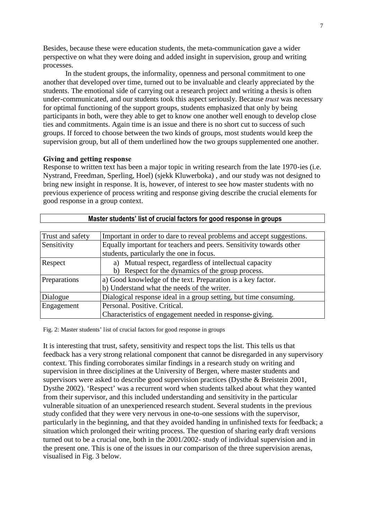Besides, because these were education students, the meta-communication gave a wider perspective on what they were doing and added insight in supervision, group and writing processes.

In the student groups, the informality, openness and personal commitment to one another that developed over time, turned out to be invaluable and clearly appreciated by the students. The emotional side of carrying out a research project and writing a thesis is often under-communicated, and our students took this aspect seriously. Because *trust* was necessary for optimal functioning of the support groups, students emphasized that only by being participants in both, were they able to get to know one another well enough to develop close ties and commitments. Again time is an issue and there is no short cut to success of such groups. If forced to choose between the two kinds of groups, most students would keep the supervision group, but all of them underlined how the two groups supplemented one another.

### **Giving and getting response**

Response to written text has been a major topic in writing research from the late 1970-ies (i.e. Nystrand, Freedman, Sperling, Hoel) (sjekk Kluwerboka) , and our study was not designed to bring new insight in response. It is, however, of interest to see how master students with no previous experience of process writing and response giving describe the crucial elements for good response in a group context.

| Master students' list of crucial factors for good response in groups |                                                                       |  |  |
|----------------------------------------------------------------------|-----------------------------------------------------------------------|--|--|
|                                                                      |                                                                       |  |  |
| Trust and safety                                                     | Important in order to dare to reveal problems and accept suggestions. |  |  |
| Sensitivity                                                          | Equally important for teachers and peers. Sensitivity towards other   |  |  |
|                                                                      | students, particularly the one in focus.                              |  |  |
| Respect                                                              | a) Mutual respect, regardless of intellectual capacity                |  |  |
|                                                                      | Respect for the dynamics of the group process.<br>b)                  |  |  |
| Preparations                                                         | a) Good knowledge of the text. Preparation is a key factor.           |  |  |
|                                                                      | b) Understand what the needs of the writer.                           |  |  |
| Dialogue                                                             | Dialogical response ideal in a group setting, but time consuming.     |  |  |
| Engagement                                                           | Personal. Positive. Critical.                                         |  |  |
|                                                                      | Characteristics of engagement needed in response-giving.              |  |  |

Fig. 2: Master students' list of crucial factors for good response in groups

It is interesting that trust, safety, sensitivity and respect tops the list. This tells us that feedback has a very strong relational component that cannot be disregarded in any supervisory context. This finding corroborates similar findings in a research study on writing and supervision in three disciplines at the University of Bergen, where master students and supervisors were asked to describe good supervision practices (Dysthe & Breistein 2001, Dysthe 2002). 'Respect' was a recurrent word when students talked about what they wanted from their supervisor, and this included understanding and sensitivity in the particular vulnerable situation of an unexperienced research student. Several students in the previous study confided that they were very nervous in one-to-one sessions with the supervisor, particularly in the beginning, and that they avoided handing in unfinished texts for feedback; a situation which prolonged their writing process. The question of sharing early draft versions turned out to be a crucial one, both in the 2001/2002- study of individual supervision and in the present one. This is one of the issues in our comparison of the three supervision arenas, visualised in Fig. 3 below.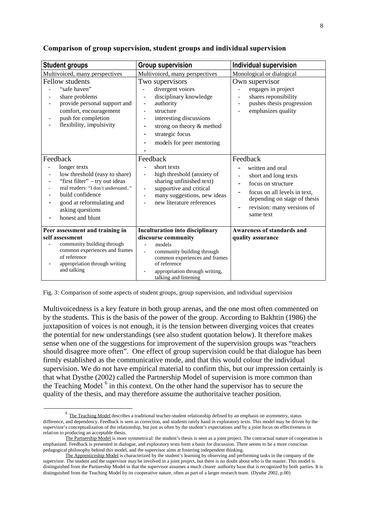| <b>Student groups</b>                                                                                                                                                                                                      | <b>Group supervision</b>                                                                                                                                                                                                                                        | <b>Individual supervision</b>                                                                                                                                                         |
|----------------------------------------------------------------------------------------------------------------------------------------------------------------------------------------------------------------------------|-----------------------------------------------------------------------------------------------------------------------------------------------------------------------------------------------------------------------------------------------------------------|---------------------------------------------------------------------------------------------------------------------------------------------------------------------------------------|
| Multivoiced, many perspectives                                                                                                                                                                                             | Multivoiced, many perspectives                                                                                                                                                                                                                                  | Monological or dialogical                                                                                                                                                             |
| Fellow students<br>"safe haven"<br>share problems<br>provide personal support and<br>comfort, encouragement<br>push for completion<br>flexibility, impulsivity<br>$\overline{\phantom{a}}$                                 | Two supervisors<br>divergent voices<br>disciplinary knowledge<br>authority<br>÷<br>structure<br>interesting discussions<br>strong on theory & method<br>strategic focus<br>models for peer mentoring                                                            | Own supervisor<br>engages in project<br>shares reponsibility<br>pushes thesis progression<br>emphasizes quality                                                                       |
| Feedback<br>longer texts<br>low threshold (easy to share)<br>"first filter" - try out ideas<br>real readers: "I don't understand"<br>build confidence<br>good at reformulating and<br>asking questions<br>honest and blunt | Feedback<br>short texts<br>high threshold (anxiety of<br>sharing unfinished text)<br>supportive and critical<br>÷,<br>many suggestions, new ideas<br>$\overline{a}$<br>new literature references                                                                | Feedback<br>written and oral<br>short and long texts<br>focus on structure<br>focus on all levels in text,<br>depending on stage of thesis<br>revision: many versions of<br>same text |
| Peer assessment and training in<br>self assessment<br>community building through<br>common experiences and frames<br>of reference<br>appropriation through writing<br>$\overline{\phantom{a}}$<br>and talking              | <b>Inculturation into disciplinary</b><br>discourse community<br>models<br>$\overline{a}$<br>community building through<br>$\overline{\phantom{0}}$<br>common experiences and frames<br>of reference<br>appropriation through writing,<br>talking and listening | Awareness of standards and<br>quality assurance                                                                                                                                       |

### **Comparison of group supervision, student groups and individual supervision**

Fig. 3: Comparison of some aspects of student groups, group supervision, and individual supervision

Multivoicedness is a key feature in both group arenas, and the one most often commented on by the students. This is the basis of the power of the group. According to Bakhtin (1986) the juxtaposition of voices is not enough, it is the tension between diverging voices that creates the potential for new understandings (see also student quotation below). It therefore makes sense when one of the suggestions for improvement of the supervision groups was "teachers should disagree more often". One effect of group supervision could be that dialogue has been firmly established as the communicative mode, and that this would colour the individual supervision. We do not have empirical material to confirm this, but our impression certainly is that what Dysthe (2002) called the Partnership Model of supervision is more common than the Teaching Model<sup>6</sup> in this context. On the other hand the supervisor has to secure the quality of the thesis, and may therefore assume the authoritaive teacher position.

 $^6$  The Teaching Model describes a traditional teacher-student relationship defined by an emphasis on asymmetry, status difference, and dependency. Feedback is seen as correction, and students rarely hand in exploratory texts. This model may be driven by the supervisor's conceptualization of the relationship, but just as often by the student's expectations and by a joint focus on effectiveness in relation to producing an acceptable thesis.

The Partnership Model is more symmetrical: the student's thesis is seen as a joint project. The contractual nature of cooperation is emphasized. Feedback is presented in dialogue, and exploratory texts form a basis for discussion. There seems to be a more conscious pedagogical philosophy behind this model, and the supervisor aims at fostering independent thinking.

The Apprenticeship Model is characterized by the student's learning by observing and performing tasks in the company of the supervisor. The student and the supervisor may be involved in a joint project, but there is no doubt about who is the master. This model is distinguished from the Partnership Model in that the supervisor assumes a much clearer authority base that is recognized by both parties. It is distinguished from the Teaching Model by its cooperative nature, often as part of a larger research team. (Dysthe 2002, p.00)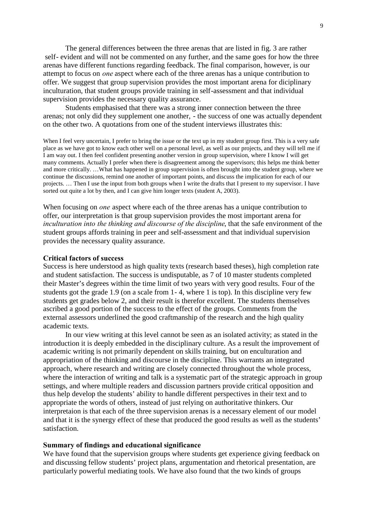The general differences between the three arenas that are listed in fig. 3 are rather self- evident and will not be commented on any further, and the same goes for how the three arenas have different functions regarding feedback. The final comparison, however, is our attempt to focus on *one* aspect where each of the three arenas has a unique contribution to offer. We suggest that group supervision provides the most important arena for diciplinary inculturation, that student groups provide training in self-assessment and that individual supervision provides the necessary quality assurance.

Students emphasised that there was a strong inner connection between the three arenas; not only did they supplement one another, - the success of one was actually dependent on the other two. A quotations from one of the student interviews illustrates this:

When I feel very uncertain, I prefer to bring the issue or the text up in my student group first. This is a very safe place as we have got to know each other well on a personal level, as well as our projects, and they will tell me if I am way out. I then feel confident presenting another version in group supervision, where I know I will get many comments. Actually I prefer when there is disagreement among the supervisors; this helps me think better and more critically. …What has happened in group supervision is often brought into the student group, where we continue the discussions, remind one another of important points, and discuss the implication for each of our projects. … Then I use the input from both groups when I write the drafts that I present to my supervisor. I have sorted out quite a lot by then, and I can give him longer texts (student A, 2003).

When focusing on *one* aspect where each of the three arenas has a unique contribution to offer, our interpretation is that group supervision provides the most important arena for *inculturation into the thinking and discourse of the discipline*, that the safe environment of the student groups affords training in peer and self-assessment and that individual supervision provides the necessary quality assurance.

#### **Critical factors of success**

Success is here understood as high quality texts (research based theses), high completion rate and student satisfaction. The success is undisputable, as 7 of 10 master students completed their Master's degrees within the time limit of two years with very good results. Four of the students got the grade 1.9 (on a scale from 1- 4, where 1 is top). In this discipline very few students get grades below 2, and their result is therefor excellent. The students themselves ascribed a good portion of the success to the effect of the groups. Comments from the external assessors underlined the good craftmanship of the research and the high quality academic texts.

In our view writing at this level cannot be seen as an isolated activity; as stated in the introduction it is deeply embedded in the disciplinary culture. As a result the improvement of academic writing is not primarily dependent on skills training, but on enculturation and appropriation of the thinking and discourse in the discipline. This warrants an integrated approach, where research and writing are closely connected throughout the whole process, where the interaction of writing and talk is a systematic part of the strategic approach in group settings, and where multiple readers and discussion partners provide critical opposition and thus help develop the students' ability to handle different perspectives in their text and to appropriate the words of others, instead of just relying on authoritative thinkers. Our interpretaion is that each of the three supervision arenas is a necessary element of our model and that it is the synergy effect of these that produced the good results as well as the students' satisfaction.

#### **Summary of findings and educational significance**

We have found that the supervision groups where students get experience giving feedback on and discussing fellow students' project plans, argumentation and rhetorical presentation, are particularly powerful mediating tools. We have also found that the two kinds of groups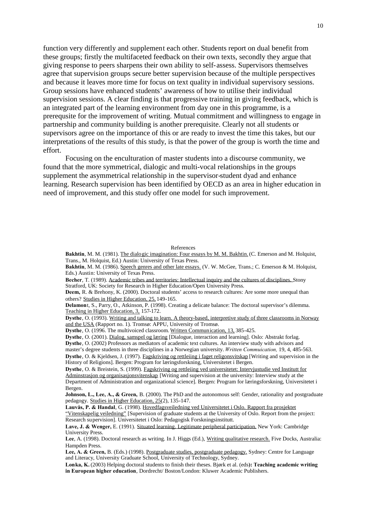function very differently and supplement each other. Students report on dual benefit from these groups; firstly the multifaceted feedback on their own texts, secondly they argue that giving response to peers sharpens their own ability to self-assess. Supervisors themselves agree that supervision groups secure better supervision because of the multiple perspectives and because it leaves more time for focus on text quality in individual supervisory sessions. Group sessions have enhanced students' awareness of how to utilise their individual supervision sessions. A clear finding is that progressive training in giving feedback, which is an integrated part of the learning environment from day one in this programme, is a prerequsite for the improvement of writing. Mutual commitment and willingness to engage in partnership and community building is another prerequisite. Clearly not all students or supervisors agree on the importance of this or are ready to invest the time this takes, but our interpretations of the results of this study, is that the power of the group is worth the time and effort.

Focusing on the enculturation of master students into a discourse community, we found that the more symmetrical, dialogic and multi-vocal relationships in the groups supplement the asymmetrical relationship in the supervisor-student dyad and enhance learning. Research supervision has been identified by OECD as an area in higher education in need of improvement, and this study offer one model for such improvement.

#### References

**Bakhtin**, M. M. (1981). The dialogic imagination: Four essays by M. M. Bakhtin.(C. Emerson and M. Holquist, Trans., M. Holquist, Ed.) Austin: University of Texas Press.

**Bakhtin**, M. M. (1986). Speech genres and other late essays. (V. W. McGee, Trans.; C. Emerson & M. Holquist, Eds.) Austin: University of Texas Press.

**Becher**, T. (1989). Academic tribes and territories: Intellectual inquiry and the cultures of disciplines. Stony Stratford, UK: Society for Research in Higher Education/Open University Press.

**Deem,** R. & Brehony, K. (2000). Doctoral students' access to research cultures: Are some more unequal than others? Studies in Higher Education, 25, 149-165.

**Delamon**t, S., Parry, O., Atkinson, P. (1998). Creating a delicate balance: The doctoral supervisor's dilemma. Teaching in Higher Education, 3, 157-172.

**Dysthe**, O. (1993). Writing and talking to learn. A theory-based, interpretive study of three classrooms in Norway and the USA (Rapport no. 1). Tromsø: APPU, University of Tromsø.

**Dysthe**, O. (1996. The multivoiced classroom. Written Communication, 13, 385-425.

**Dysthe**, O. (2001). Dialog, samspel og læring [Dialogue, interaction and learning]. Oslo: Abstrakt forlag.

**Dysthe**, O. (2002) Professors as mediators of academic text cultures. An interview study with advisors and

master's degree students in three disciplines in a Norwegian university. *Written Commuication,* 19, 4, 485-563.

**Dysthe**, O. & Kjeldsen, J. (1997). Fagskriving og rettleiing i faget religonsvitskap [Writing and supervision in the History of Religions]. Bergen: Program for læringsforskning, Universitetet i Bergen.

**Dysthe**, O. & Breistein, S. (1999). Fagskriving og rettleiing ved universitetet: Intervjustudie ved Institutt for Adminstrasjon og organisasjonsvitenskap [Writing and supervision at the university: Interview study at the Department of Administration and organizational science]. Bergen: Program for læringsforskning, Universitetet i Bergen.

**Johnson, L., Lee, A., & Green,** B. (2000). The PhD and the autonomous self: Gender, rationality and postgraduate pedagogy. Studies in Higher Education, 25(2), 135-147.

**Lauvås, P. & Handal**, G. (1998). Hovedfagsveiledning ved Universitetet i Oslo. Rapport fra prosjektet "Vitenskapelig veiledning" [Supervision of graduate students at the University of Oslo. Report from the project: Research supervision]. Universitetet i Oslo: Pedagogisk Forskningsinstitutt.

**Lave, J. & Wenger,** E. (1991). Situated learning. Legitimate peripheral participation. New York: Cambridge University Press.

Lee, A. (1998). Doctoral research as writing. In J. Higgs (Ed.), Writing qualitative research. Five Docks, Australia: Hampden Press.

Lee, A. & Green, B. (Eds.) (1998). Postgraduate studies, postgraduate pedagogy. Sydney: Centre for Language and Literacy, University Graduate School, University of Technology, Sydney.

**Lonka, K.** (2003) Helping doctoral students to finish their theses. Bjørk et al. (eds**): Teaching academic writing in European higher education**, Dordrecht/ Boston/London: Kluwer Academic Publishers.